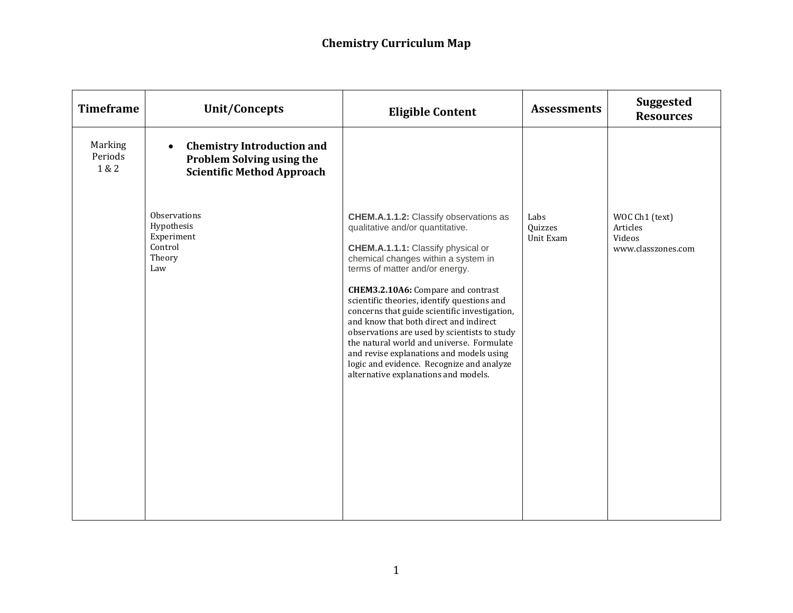| <b>Timeframe</b>            | <b>Unit/Concepts</b>                                                                                                    | <b>Eligible Content</b>                                                                                                                                                                                                                                                                                                                                                                                                                                                                                                                                                                                        | <b>Assessments</b>           | <b>Suggested</b><br><b>Resources</b>                       |
|-----------------------------|-------------------------------------------------------------------------------------------------------------------------|----------------------------------------------------------------------------------------------------------------------------------------------------------------------------------------------------------------------------------------------------------------------------------------------------------------------------------------------------------------------------------------------------------------------------------------------------------------------------------------------------------------------------------------------------------------------------------------------------------------|------------------------------|------------------------------------------------------------|
| Marking<br>Periods<br>1 & 2 | <b>Chemistry Introduction and</b><br>$\bullet$<br><b>Problem Solving using the</b><br><b>Scientific Method Approach</b> |                                                                                                                                                                                                                                                                                                                                                                                                                                                                                                                                                                                                                |                              |                                                            |
|                             | Observations<br>Hypothesis<br>Experiment<br>Control<br>Theory<br>Law                                                    | <b>CHEM.A.1.1.2: Classify observations as</b><br>qualitative and/or quantitative.<br>CHEM.A.1.1.1: Classify physical or<br>chemical changes within a system in<br>terms of matter and/or energy.<br>CHEM3.2.10A6: Compare and contrast<br>scientific theories, identify questions and<br>concerns that guide scientific investigation,<br>and know that both direct and indirect<br>observations are used by scientists to study<br>the natural world and universe. Formulate<br>and revise explanations and models using<br>logic and evidence. Recognize and analyze<br>alternative explanations and models. | Labs<br>Quizzes<br>Unit Exam | WOC Ch1 (text)<br>Articles<br>Videos<br>www.classzones.com |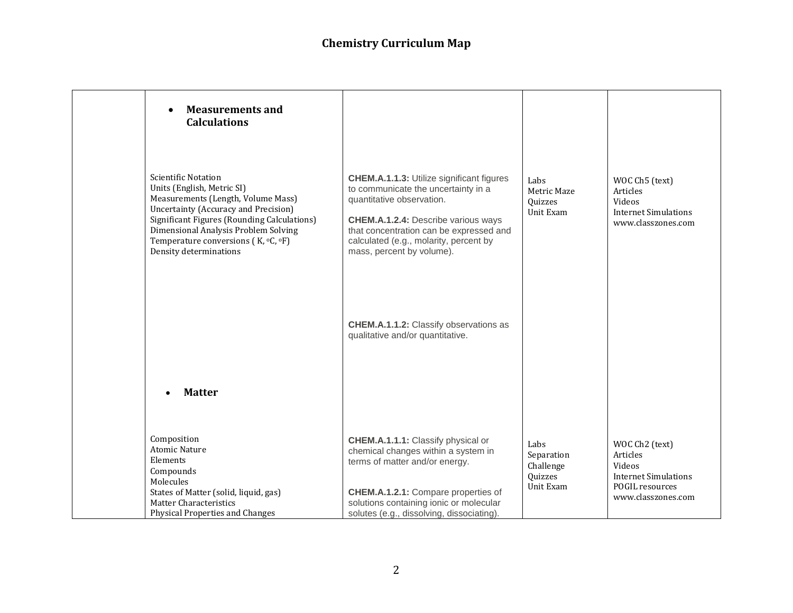| <b>Measurements and</b><br><b>Calculations</b>                                                                                                                                                                                                                                                        |                                                                                                                                                                                                                                                                                      |                                                         |                                                                                                              |
|-------------------------------------------------------------------------------------------------------------------------------------------------------------------------------------------------------------------------------------------------------------------------------------------------------|--------------------------------------------------------------------------------------------------------------------------------------------------------------------------------------------------------------------------------------------------------------------------------------|---------------------------------------------------------|--------------------------------------------------------------------------------------------------------------|
| <b>Scientific Notation</b><br>Units (English, Metric SI)<br>Measurements (Length, Volume Mass)<br><b>Uncertainty (Accuracy and Precision)</b><br>Significant Figures (Rounding Calculations)<br>Dimensional Analysis Problem Solving<br>Temperature conversions (K, °C, °F)<br>Density determinations | <b>CHEM.A.1.1.3: Utilize significant figures</b><br>to communicate the uncertainty in a<br>quantitative observation.<br><b>CHEM.A.1.2.4:</b> Describe various ways<br>that concentration can be expressed and<br>calculated (e.g., molarity, percent by<br>mass, percent by volume). | Labs<br>Metric Maze<br>Quizzes<br>Unit Exam             | WOC Ch5 (text)<br>Articles<br>Videos<br><b>Internet Simulations</b><br>www.classzones.com                    |
|                                                                                                                                                                                                                                                                                                       | <b>CHEM.A.1.1.2:</b> Classify observations as<br>qualitative and/or quantitative.                                                                                                                                                                                                    |                                                         |                                                                                                              |
| <b>Matter</b>                                                                                                                                                                                                                                                                                         |                                                                                                                                                                                                                                                                                      |                                                         |                                                                                                              |
| Composition<br><b>Atomic Nature</b><br>Elements<br>Compounds<br>Molecules<br>States of Matter (solid, liquid, gas)<br><b>Matter Characteristics</b><br><b>Physical Properties and Changes</b>                                                                                                         | <b>CHEM.A.1.1.1:</b> Classify physical or<br>chemical changes within a system in<br>terms of matter and/or energy.<br>CHEM.A.1.2.1: Compare properties of<br>solutions containing ionic or molecular<br>solutes (e.g., dissolving, dissociating).                                    | Labs<br>Separation<br>Challenge<br>Quizzes<br>Unit Exam | WOC Ch2 (text)<br>Articles<br>Videos<br><b>Internet Simulations</b><br>POGIL resources<br>www.classzones.com |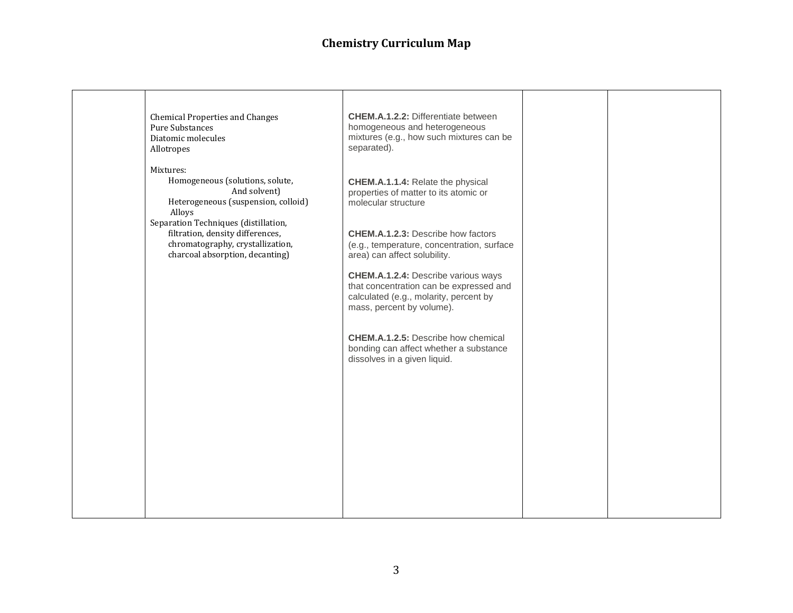| <b>Chemical Properties and Changes</b><br>Pure Substances<br>Diatomic molecules<br>Allotropes                                                   | <b>CHEM.A.1.2.2: Differentiate between</b><br>homogeneous and heterogeneous<br>mixtures (e.g., how such mixtures can be<br>separated).                       |  |
|-------------------------------------------------------------------------------------------------------------------------------------------------|--------------------------------------------------------------------------------------------------------------------------------------------------------------|--|
| Mixtures:<br>Homogeneous (solutions, solute,<br>And solvent)<br>Heterogeneous (suspension, colloid)<br>Alloys                                   | <b>CHEM.A.1.1.4: Relate the physical</b><br>properties of matter to its atomic or<br>molecular structure                                                     |  |
| Separation Techniques (distillation,<br>filtration, density differences,<br>chromatography, crystallization,<br>charcoal absorption, decanting) | <b>CHEM.A.1.2.3: Describe how factors</b><br>(e.g., temperature, concentration, surface<br>area) can affect solubility.                                      |  |
|                                                                                                                                                 | <b>CHEM.A.1.2.4:</b> Describe various ways<br>that concentration can be expressed and<br>calculated (e.g., molarity, percent by<br>mass, percent by volume). |  |
|                                                                                                                                                 | <b>CHEM.A.1.2.5:</b> Describe how chemical<br>bonding can affect whether a substance<br>dissolves in a given liquid.                                         |  |
|                                                                                                                                                 |                                                                                                                                                              |  |
|                                                                                                                                                 |                                                                                                                                                              |  |
|                                                                                                                                                 |                                                                                                                                                              |  |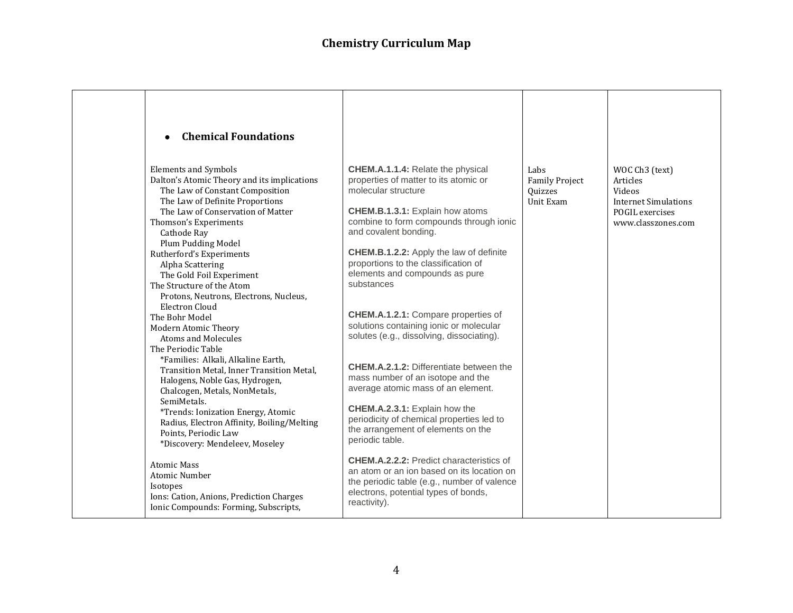| <b>Chemical Foundations</b><br>$\bullet$                                                                                                                                                                                                                                                                                                                                                                                                                                                                                                                                                                                                                                                                                                                                                                                                                        |                                                                                                                                                                                                                                                                                                                                                                                                                                                                                                                                                                                                                                                                                                                                                                                                                               |                                                       |                                                                                                              |
|-----------------------------------------------------------------------------------------------------------------------------------------------------------------------------------------------------------------------------------------------------------------------------------------------------------------------------------------------------------------------------------------------------------------------------------------------------------------------------------------------------------------------------------------------------------------------------------------------------------------------------------------------------------------------------------------------------------------------------------------------------------------------------------------------------------------------------------------------------------------|-------------------------------------------------------------------------------------------------------------------------------------------------------------------------------------------------------------------------------------------------------------------------------------------------------------------------------------------------------------------------------------------------------------------------------------------------------------------------------------------------------------------------------------------------------------------------------------------------------------------------------------------------------------------------------------------------------------------------------------------------------------------------------------------------------------------------------|-------------------------------------------------------|--------------------------------------------------------------------------------------------------------------|
| <b>Elements and Symbols</b><br>Dalton's Atomic Theory and its implications<br>The Law of Constant Composition<br>The Law of Definite Proportions<br>The Law of Conservation of Matter<br>Thomson's Experiments<br>Cathode Ray<br>Plum Pudding Model<br>Rutherford's Experiments<br>Alpha Scattering<br>The Gold Foil Experiment<br>The Structure of the Atom<br>Protons, Neutrons, Electrons, Nucleus,<br>Electron Cloud<br>The Bohr Model<br>Modern Atomic Theory<br><b>Atoms and Molecules</b><br>The Periodic Table<br>*Families: Alkali, Alkaline Earth,<br>Transition Metal, Inner Transition Metal,<br>Halogens, Noble Gas, Hydrogen,<br>Chalcogen, Metals, NonMetals,<br>SemiMetals.<br>*Trends: Ionization Energy, Atomic<br>Radius, Electron Affinity, Boiling/Melting<br>Points, Periodic Law<br>*Discovery: Mendeleev, Moseley<br><b>Atomic Mass</b> | <b>CHEM.A.1.1.4: Relate the physical</b><br>properties of matter to its atomic or<br>molecular structure<br><b>CHEM.B.1.3.1:</b> Explain how atoms<br>combine to form compounds through ionic<br>and covalent bonding.<br><b>CHEM.B.1.2.2:</b> Apply the law of definite<br>proportions to the classification of<br>elements and compounds as pure<br>substances<br><b>CHEM.A.1.2.1: Compare properties of</b><br>solutions containing ionic or molecular<br>solutes (e.g., dissolving, dissociating).<br><b>CHEM.A.2.1.2: Differentiate between the</b><br>mass number of an isotope and the<br>average atomic mass of an element.<br>CHEM.A.2.3.1: Explain how the<br>periodicity of chemical properties led to<br>the arrangement of elements on the<br>periodic table.<br><b>CHEM.A.2.2.2: Predict characteristics of</b> | Labs<br><b>Family Project</b><br>Quizzes<br>Unit Exam | WOC Ch3 (text)<br>Articles<br>Videos<br><b>Internet Simulations</b><br>POGIL exercises<br>www.classzones.com |
| Atomic Number<br>Isotopes<br>Ions: Cation, Anions, Prediction Charges<br>Ionic Compounds: Forming, Subscripts,                                                                                                                                                                                                                                                                                                                                                                                                                                                                                                                                                                                                                                                                                                                                                  | an atom or an ion based on its location on<br>the periodic table (e.g., number of valence<br>electrons, potential types of bonds,<br>reactivity).                                                                                                                                                                                                                                                                                                                                                                                                                                                                                                                                                                                                                                                                             |                                                       |                                                                                                              |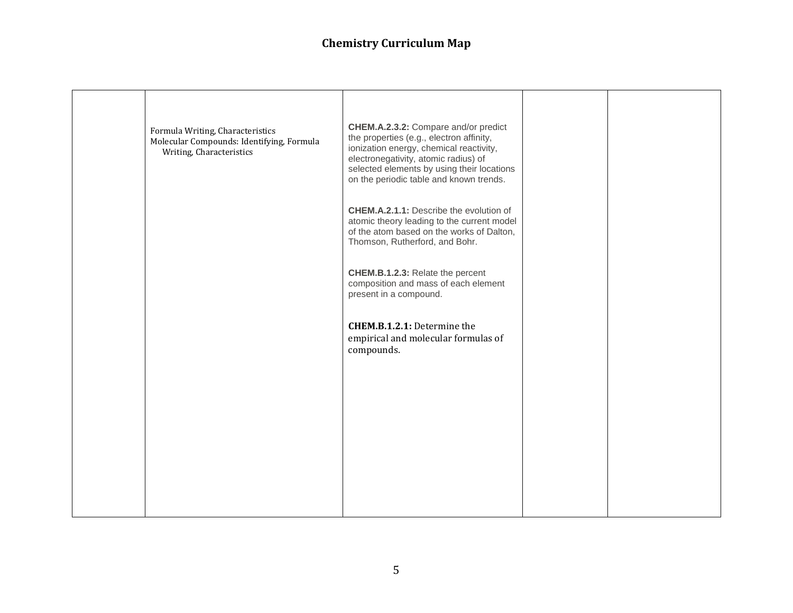| Formula Writing, Characteristics<br>Molecular Compounds: Identifying, Formula<br>Writing, Characteristics | CHEM.A.2.3.2: Compare and/or predict<br>the properties (e.g., electron affinity,<br>ionization energy, chemical reactivity,<br>electronegativity, atomic radius) of<br>selected elements by using their locations<br>on the periodic table and known trends.<br><b>CHEM.A.2.1.1:</b> Describe the evolution of<br>atomic theory leading to the current model |  |
|-----------------------------------------------------------------------------------------------------------|--------------------------------------------------------------------------------------------------------------------------------------------------------------------------------------------------------------------------------------------------------------------------------------------------------------------------------------------------------------|--|
|                                                                                                           | of the atom based on the works of Dalton,<br>Thomson, Rutherford, and Bohr.                                                                                                                                                                                                                                                                                  |  |
|                                                                                                           | CHEM.B.1.2.3: Relate the percent<br>composition and mass of each element<br>present in a compound.                                                                                                                                                                                                                                                           |  |
|                                                                                                           | <b>CHEM.B.1.2.1:</b> Determine the<br>empirical and molecular formulas of<br>compounds.                                                                                                                                                                                                                                                                      |  |
|                                                                                                           |                                                                                                                                                                                                                                                                                                                                                              |  |
|                                                                                                           |                                                                                                                                                                                                                                                                                                                                                              |  |
|                                                                                                           |                                                                                                                                                                                                                                                                                                                                                              |  |
|                                                                                                           |                                                                                                                                                                                                                                                                                                                                                              |  |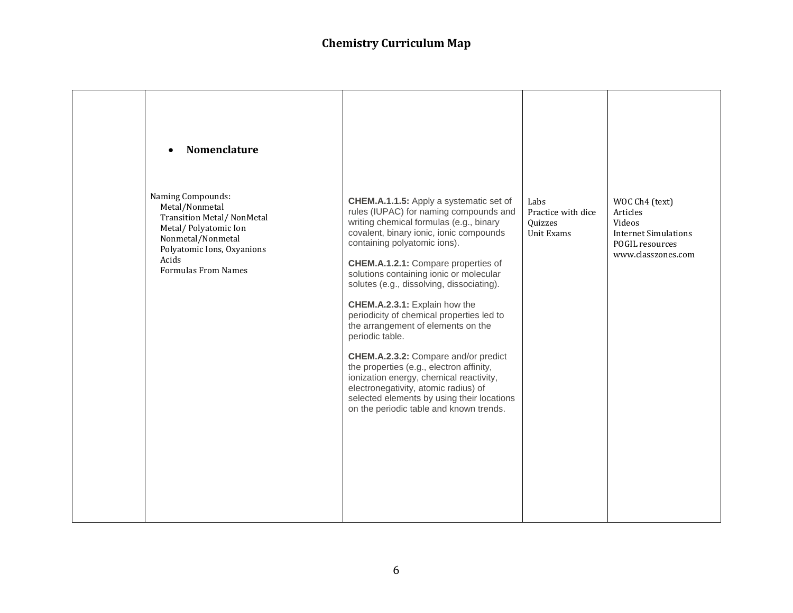| <b>Nomenclature</b><br>$\bullet$                                                                                                                                                           |                                                                                                                                                                                                                                                                                                                                                                                                                                                                                                                                                                                                                                                                                                                                               |                                                            |                                                                                                              |
|--------------------------------------------------------------------------------------------------------------------------------------------------------------------------------------------|-----------------------------------------------------------------------------------------------------------------------------------------------------------------------------------------------------------------------------------------------------------------------------------------------------------------------------------------------------------------------------------------------------------------------------------------------------------------------------------------------------------------------------------------------------------------------------------------------------------------------------------------------------------------------------------------------------------------------------------------------|------------------------------------------------------------|--------------------------------------------------------------------------------------------------------------|
| Naming Compounds:<br>Metal/Nonmetal<br><b>Transition Metal/ NonMetal</b><br>Metal/Polyatomic Ion<br>Nonmetal/Nonmetal<br>Polyatomic Ions, Oxyanions<br>Acids<br><b>Formulas From Names</b> | CHEM.A.1.1.5: Apply a systematic set of<br>rules (IUPAC) for naming compounds and<br>writing chemical formulas (e.g., binary<br>covalent, binary ionic, ionic compounds<br>containing polyatomic ions).<br>CHEM.A.1.2.1: Compare properties of<br>solutions containing ionic or molecular<br>solutes (e.g., dissolving, dissociating).<br>CHEM.A.2.3.1: Explain how the<br>periodicity of chemical properties led to<br>the arrangement of elements on the<br>periodic table.<br>CHEM.A.2.3.2: Compare and/or predict<br>the properties (e.g., electron affinity,<br>ionization energy, chemical reactivity,<br>electronegativity, atomic radius) of<br>selected elements by using their locations<br>on the periodic table and known trends. | Labs<br>Practice with dice<br><b>Ouizzes</b><br>Unit Exams | WOC Ch4 (text)<br>Articles<br>Videos<br><b>Internet Simulations</b><br>POGIL resources<br>www.classzones.com |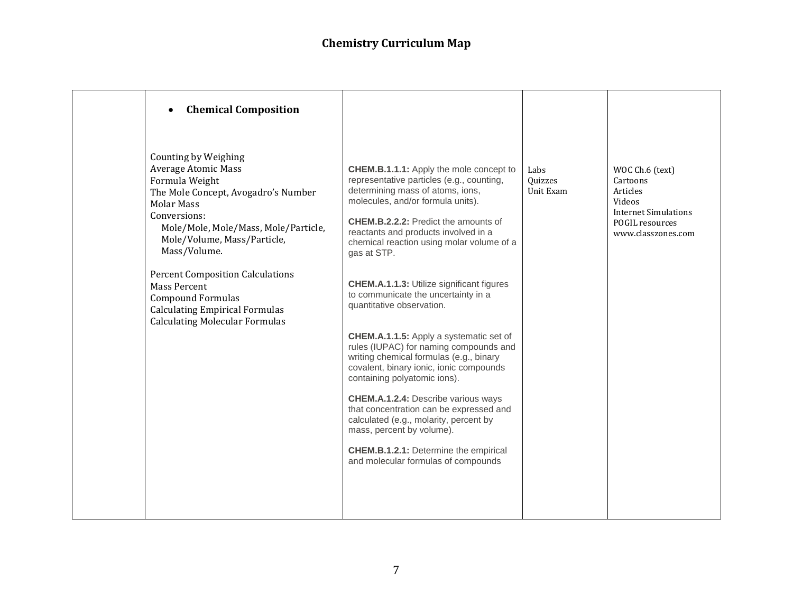| <b>Chemical Composition</b><br>Counting by Weighing                                                                                                                                                                                                        |                                                                                                                                                                                                                                                                                                                                                                                                                                                                                                                                                                                               |                              |                                                                                                                           |
|------------------------------------------------------------------------------------------------------------------------------------------------------------------------------------------------------------------------------------------------------------|-----------------------------------------------------------------------------------------------------------------------------------------------------------------------------------------------------------------------------------------------------------------------------------------------------------------------------------------------------------------------------------------------------------------------------------------------------------------------------------------------------------------------------------------------------------------------------------------------|------------------------------|---------------------------------------------------------------------------------------------------------------------------|
| <b>Average Atomic Mass</b><br>Formula Weight<br>The Mole Concept, Avogadro's Number<br><b>Molar Mass</b><br>Conversions:<br>Mole/Mole, Mole/Mass, Mole/Particle,<br>Mole/Volume, Mass/Particle,<br>Mass/Volume.<br><b>Percent Composition Calculations</b> | <b>CHEM.B.1.1.1:</b> Apply the mole concept to<br>representative particles (e.g., counting,<br>determining mass of atoms, ions,<br>molecules, and/or formula units).<br><b>CHEM.B.2.2.2:</b> Predict the amounts of<br>reactants and products involved in a<br>chemical reaction using molar volume of a<br>gas at STP.                                                                                                                                                                                                                                                                       | Labs<br>Quizzes<br>Unit Exam | WOC Ch.6 (text)<br>Cartoons<br>Articles<br>Videos<br><b>Internet Simulations</b><br>POGIL resources<br>www.classzones.com |
| <b>Mass Percent</b><br><b>Compound Formulas</b><br><b>Calculating Empirical Formulas</b><br><b>Calculating Molecular Formulas</b>                                                                                                                          | <b>CHEM.A.1.1.3: Utilize significant figures</b><br>to communicate the uncertainty in a<br>quantitative observation.<br><b>CHEM.A.1.1.5:</b> Apply a systematic set of<br>rules (IUPAC) for naming compounds and<br>writing chemical formulas (e.g., binary<br>covalent, binary ionic, ionic compounds<br>containing polyatomic ions).<br><b>CHEM.A.1.2.4:</b> Describe various ways<br>that concentration can be expressed and<br>calculated (e.g., molarity, percent by<br>mass, percent by volume).<br><b>CHEM.B.1.2.1:</b> Determine the empirical<br>and molecular formulas of compounds |                              |                                                                                                                           |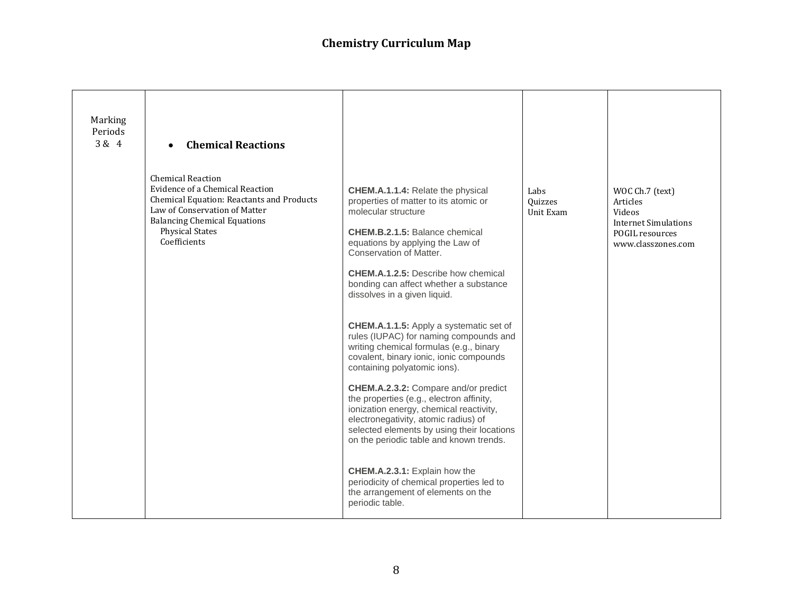| Marking<br>Periods<br>3 & 4 | <b>Chemical Reactions</b>                                                                                                                                                                                                  |                                                                                                                                                                                                                                                                                                                                                                                                                                                                                                                                                                                                                                                                                                                                                                                                                                                                                                                                                                   |                              |                                                                                                               |
|-----------------------------|----------------------------------------------------------------------------------------------------------------------------------------------------------------------------------------------------------------------------|-------------------------------------------------------------------------------------------------------------------------------------------------------------------------------------------------------------------------------------------------------------------------------------------------------------------------------------------------------------------------------------------------------------------------------------------------------------------------------------------------------------------------------------------------------------------------------------------------------------------------------------------------------------------------------------------------------------------------------------------------------------------------------------------------------------------------------------------------------------------------------------------------------------------------------------------------------------------|------------------------------|---------------------------------------------------------------------------------------------------------------|
|                             | <b>Chemical Reaction</b><br>Evidence of a Chemical Reaction<br>Chemical Equation: Reactants and Products<br>Law of Conservation of Matter<br><b>Balancing Chemical Equations</b><br><b>Physical States</b><br>Coefficients | <b>CHEM.A.1.1.4: Relate the physical</b><br>properties of matter to its atomic or<br>molecular structure<br><b>CHEM.B.2.1.5: Balance chemical</b><br>equations by applying the Law of<br>Conservation of Matter.<br><b>CHEM.A.1.2.5:</b> Describe how chemical<br>bonding can affect whether a substance<br>dissolves in a given liquid.<br><b>CHEM.A.1.1.5:</b> Apply a systematic set of<br>rules (IUPAC) for naming compounds and<br>writing chemical formulas (e.g., binary<br>covalent, binary ionic, ionic compounds<br>containing polyatomic ions).<br>CHEM.A.2.3.2: Compare and/or predict<br>the properties (e.g., electron affinity,<br>ionization energy, chemical reactivity,<br>electronegativity, atomic radius) of<br>selected elements by using their locations<br>on the periodic table and known trends.<br>CHEM.A.2.3.1: Explain how the<br>periodicity of chemical properties led to<br>the arrangement of elements on the<br>periodic table. | Labs<br>Quizzes<br>Unit Exam | WOC Ch.7 (text)<br>Articles<br>Videos<br><b>Internet Simulations</b><br>POGIL resources<br>www.classzones.com |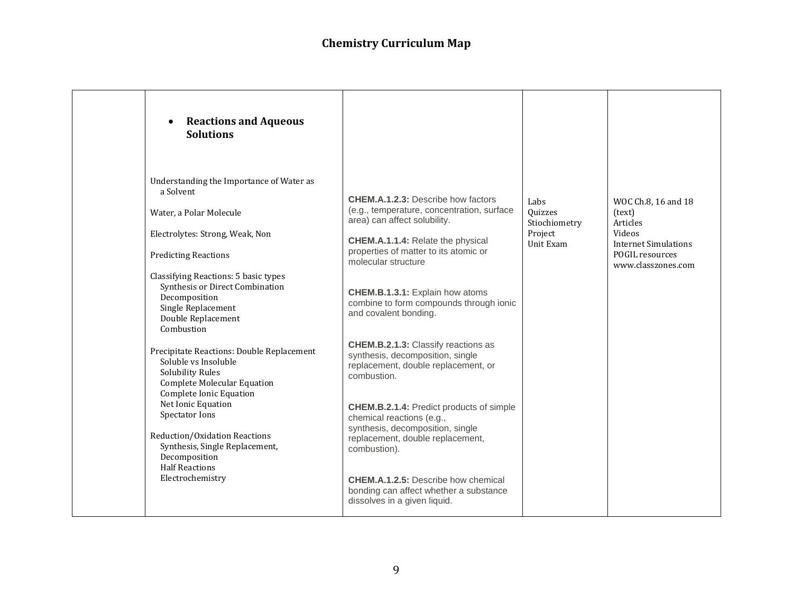| <b>Reactions and Aqueous</b><br><b>Solutions</b>                                                                                                                                                                                                                                                                                                                                                                                                                                                                                                                                     |                                                                                                                                                                                                                                                                                                                                                                                                                                                                                                                                                                                                                                                     |                                                          |                                                                                                                             |
|--------------------------------------------------------------------------------------------------------------------------------------------------------------------------------------------------------------------------------------------------------------------------------------------------------------------------------------------------------------------------------------------------------------------------------------------------------------------------------------------------------------------------------------------------------------------------------------|-----------------------------------------------------------------------------------------------------------------------------------------------------------------------------------------------------------------------------------------------------------------------------------------------------------------------------------------------------------------------------------------------------------------------------------------------------------------------------------------------------------------------------------------------------------------------------------------------------------------------------------------------------|----------------------------------------------------------|-----------------------------------------------------------------------------------------------------------------------------|
| Understanding the Importance of Water as<br>a Solvent<br>Water, a Polar Molecule<br>Electrolytes: Strong, Weak, Non<br><b>Predicting Reactions</b><br>Classifying Reactions: 5 basic types<br>Synthesis or Direct Combination<br>Decomposition<br>Single Replacement<br>Double Replacement<br>Combustion<br>Precipitate Reactions: Double Replacement<br>Soluble vs Insoluble<br><b>Solubility Rules</b><br><b>Complete Molecular Equation</b><br>Complete Ionic Equation<br>Net Ionic Equation<br>Spectator Ions<br>Reduction/Oxidation Reactions<br>Synthesis, Single Replacement, | <b>CHEM.A.1.2.3: Describe how factors</b><br>(e.g., temperature, concentration, surface<br>area) can affect solubility.<br>CHEM.A.1.1.4: Relate the physical<br>properties of matter to its atomic or<br>molecular structure<br>CHEM.B.1.3.1: Explain how atoms<br>combine to form compounds through ionic<br>and covalent bonding.<br><b>CHEM.B.2.1.3: Classify reactions as</b><br>synthesis, decomposition, single<br>replacement, double replacement, or<br>combustion.<br><b>CHEM.B.2.1.4: Predict products of simple</b><br>chemical reactions (e.g.,<br>synthesis, decomposition, single<br>replacement, double replacement,<br>combustion). | Labs<br>Quizzes<br>Stiochiometry<br>Project<br>Unit Exam | WOC Ch.8, 16 and 18<br>(text)<br>Articles<br>Videos<br><b>Internet Simulations</b><br>POGIL resources<br>www.classzones.com |
| Decomposition<br><b>Half Reactions</b><br>Electrochemistry                                                                                                                                                                                                                                                                                                                                                                                                                                                                                                                           | <b>CHEM.A.1.2.5:</b> Describe how chemical<br>bonding can affect whether a substance<br>dissolves in a given liquid.                                                                                                                                                                                                                                                                                                                                                                                                                                                                                                                                |                                                          |                                                                                                                             |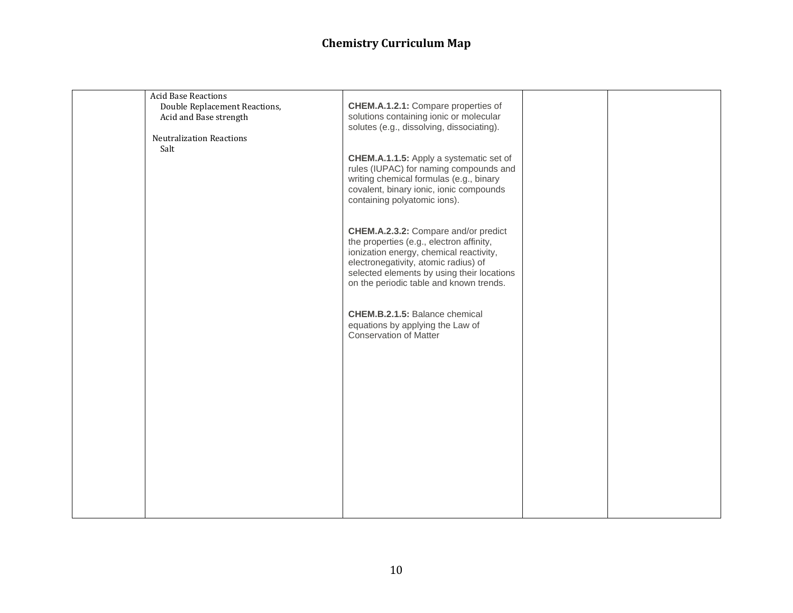| <b>Acid Base Reactions</b><br>Double Replacement Reactions,<br>Acid and Base strength<br><b>Neutralization Reactions</b><br>Salt | CHEM.A.1.2.1: Compare properties of<br>solutions containing ionic or molecular<br>solutes (e.g., dissolving, dissociating).                                                                                                                                  |  |
|----------------------------------------------------------------------------------------------------------------------------------|--------------------------------------------------------------------------------------------------------------------------------------------------------------------------------------------------------------------------------------------------------------|--|
|                                                                                                                                  | <b>CHEM.A.1.1.5:</b> Apply a systematic set of<br>rules (IUPAC) for naming compounds and<br>writing chemical formulas (e.g., binary<br>covalent, binary ionic, ionic compounds<br>containing polyatomic ions).                                               |  |
|                                                                                                                                  | CHEM.A.2.3.2: Compare and/or predict<br>the properties (e.g., electron affinity,<br>ionization energy, chemical reactivity,<br>electronegativity, atomic radius) of<br>selected elements by using their locations<br>on the periodic table and known trends. |  |
|                                                                                                                                  | CHEM.B.2.1.5: Balance chemical<br>equations by applying the Law of<br><b>Conservation of Matter</b>                                                                                                                                                          |  |
|                                                                                                                                  |                                                                                                                                                                                                                                                              |  |
|                                                                                                                                  |                                                                                                                                                                                                                                                              |  |
|                                                                                                                                  |                                                                                                                                                                                                                                                              |  |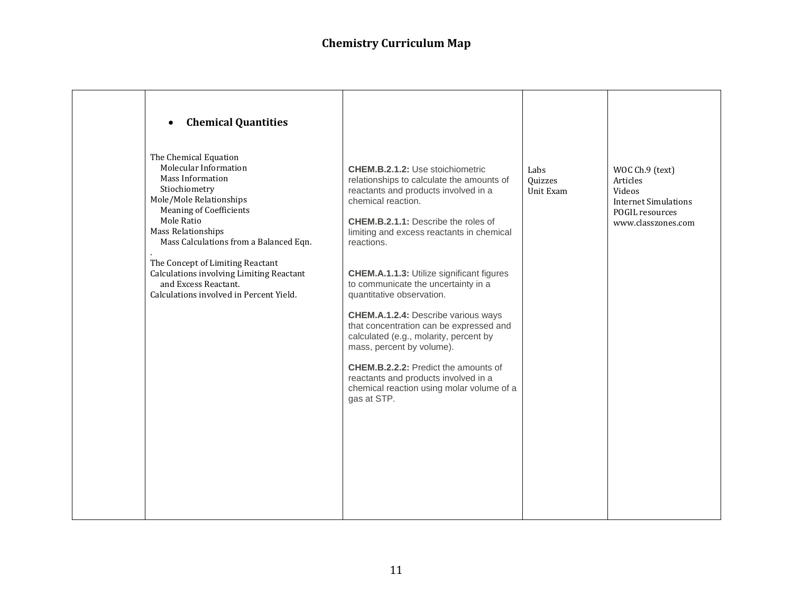| The Chemical Equation<br>Molecular Information<br><b>CHEM.B.2.1.2: Use stoichiometric</b><br>Labs<br>WOC Ch.9 (text)<br>Mass Information<br>relationships to calculate the amounts of<br>Quizzes<br>Articles<br>Stiochiometry<br>reactants and products involved in a<br>Videos<br>Unit Exam<br>Mole/Mole Relationships<br>chemical reaction.<br><b>Internet Simulations</b><br><b>Meaning of Coefficients</b><br>POGIL resources<br>Mole Ratio<br>CHEM.B.2.1.1: Describe the roles of<br>www.classzones.com<br>Mass Relationships<br>limiting and excess reactants in chemical<br>Mass Calculations from a Balanced Eqn.<br>reactions.<br>The Concept of Limiting Reactant<br>Calculations involving Limiting Reactant<br><b>CHEM.A.1.1.3: Utilize significant figures</b><br>and Excess Reactant.<br>to communicate the uncertainty in a<br>Calculations involved in Percent Yield.<br>quantitative observation.<br><b>CHEM.A.1.2.4: Describe various ways</b><br>that concentration can be expressed and<br>calculated (e.g., molarity, percent by<br>mass, percent by volume).<br><b>CHEM.B.2.2.2:</b> Predict the amounts of<br>reactants and products involved in a<br>chemical reaction using molar volume of a | <b>Chemical Quantities</b><br>$\bullet$ |             |  |
|------------------------------------------------------------------------------------------------------------------------------------------------------------------------------------------------------------------------------------------------------------------------------------------------------------------------------------------------------------------------------------------------------------------------------------------------------------------------------------------------------------------------------------------------------------------------------------------------------------------------------------------------------------------------------------------------------------------------------------------------------------------------------------------------------------------------------------------------------------------------------------------------------------------------------------------------------------------------------------------------------------------------------------------------------------------------------------------------------------------------------------------------------------------------------------------------------------------------|-----------------------------------------|-------------|--|
|                                                                                                                                                                                                                                                                                                                                                                                                                                                                                                                                                                                                                                                                                                                                                                                                                                                                                                                                                                                                                                                                                                                                                                                                                        |                                         | gas at STP. |  |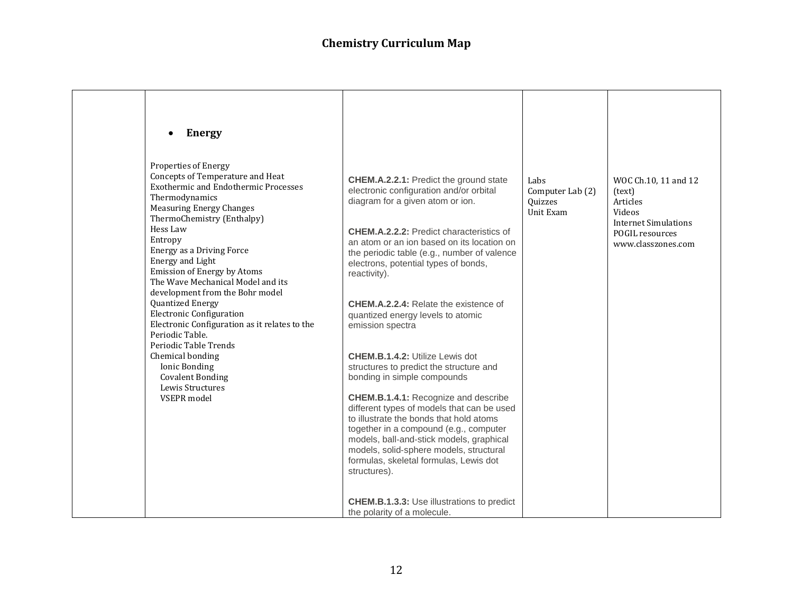| <b>Energy</b><br>$\bullet$                                                                                                                                                                                                                                                                                                                                                                                                                                                                                                                                                                                                              |                                                                                                                                                                                                                                                                                                                                                                                                                                                                                                                                                                                                                                                                                                                                                                                                                                                                                                                                                           |                                                  |                                                                                                                              |
|-----------------------------------------------------------------------------------------------------------------------------------------------------------------------------------------------------------------------------------------------------------------------------------------------------------------------------------------------------------------------------------------------------------------------------------------------------------------------------------------------------------------------------------------------------------------------------------------------------------------------------------------|-----------------------------------------------------------------------------------------------------------------------------------------------------------------------------------------------------------------------------------------------------------------------------------------------------------------------------------------------------------------------------------------------------------------------------------------------------------------------------------------------------------------------------------------------------------------------------------------------------------------------------------------------------------------------------------------------------------------------------------------------------------------------------------------------------------------------------------------------------------------------------------------------------------------------------------------------------------|--------------------------------------------------|------------------------------------------------------------------------------------------------------------------------------|
| Properties of Energy<br>Concepts of Temperature and Heat<br><b>Exothermic and Endothermic Processes</b><br>Thermodynamics<br><b>Measuring Energy Changes</b><br>ThermoChemistry (Enthalpy)<br>Hess Law<br>Entropy<br>Energy as a Driving Force<br>Energy and Light<br>Emission of Energy by Atoms<br>The Wave Mechanical Model and its<br>development from the Bohr model<br>Quantized Energy<br><b>Electronic Configuration</b><br>Electronic Configuration as it relates to the<br>Periodic Table.<br>Periodic Table Trends<br>Chemical bonding<br><b>Ionic Bonding</b><br><b>Covalent Bonding</b><br>Lewis Structures<br>VSEPR model | <b>CHEM.A.2.2.1: Predict the ground state</b><br>electronic configuration and/or orbital<br>diagram for a given atom or ion.<br><b>CHEM.A.2.2.2: Predict characteristics of</b><br>an atom or an ion based on its location on<br>the periodic table (e.g., number of valence<br>electrons, potential types of bonds,<br>reactivity).<br><b>CHEM.A.2.2.4: Relate the existence of</b><br>quantized energy levels to atomic<br>emission spectra<br><b>CHEM.B.1.4.2: Utilize Lewis dot</b><br>structures to predict the structure and<br>bonding in simple compounds<br><b>CHEM.B.1.4.1: Recognize and describe</b><br>different types of models that can be used<br>to illustrate the bonds that hold atoms<br>together in a compound (e.g., computer<br>models, ball-and-stick models, graphical<br>models, solid-sphere models, structural<br>formulas, skeletal formulas, Lewis dot<br>structures).<br><b>CHEM.B.1.3.3:</b> Use illustrations to predict | Labs<br>Computer Lab (2)<br>Quizzes<br>Unit Exam | WOC Ch.10, 11 and 12<br>(text)<br>Articles<br>Videos<br><b>Internet Simulations</b><br>POGIL resources<br>www.classzones.com |
|                                                                                                                                                                                                                                                                                                                                                                                                                                                                                                                                                                                                                                         | the polarity of a molecule.                                                                                                                                                                                                                                                                                                                                                                                                                                                                                                                                                                                                                                                                                                                                                                                                                                                                                                                               |                                                  |                                                                                                                              |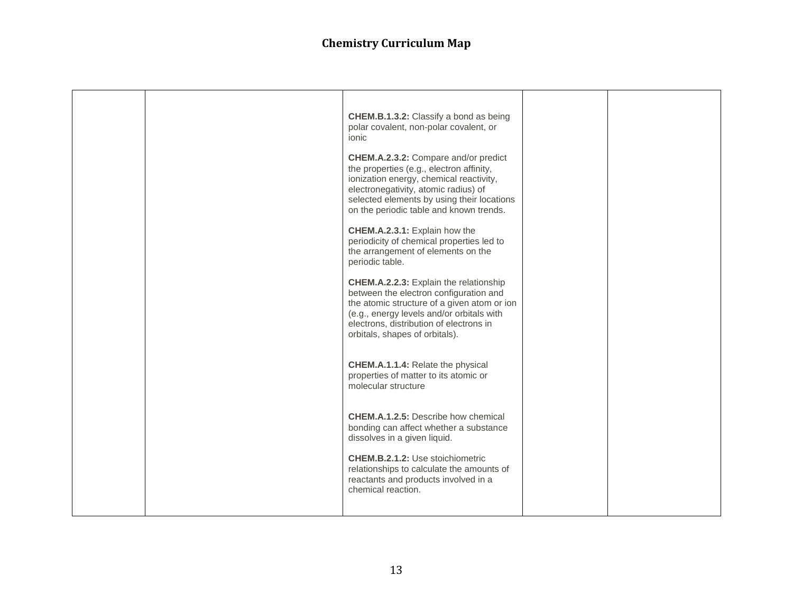|  | <b>CHEM.B.1.3.2:</b> Classify a bond as being<br>polar covalent, non-polar covalent, or<br>ionic                                                                                                                                                                 |  |
|--|------------------------------------------------------------------------------------------------------------------------------------------------------------------------------------------------------------------------------------------------------------------|--|
|  | CHEM.A.2.3.2: Compare and/or predict<br>the properties (e.g., electron affinity,<br>ionization energy, chemical reactivity,<br>electronegativity, atomic radius) of<br>selected elements by using their locations<br>on the periodic table and known trends.     |  |
|  | CHEM.A.2.3.1: Explain how the<br>periodicity of chemical properties led to<br>the arrangement of elements on the<br>periodic table.                                                                                                                              |  |
|  | <b>CHEM.A.2.2.3:</b> Explain the relationship<br>between the electron configuration and<br>the atomic structure of a given atom or ion<br>(e.g., energy levels and/or orbitals with<br>electrons, distribution of electrons in<br>orbitals, shapes of orbitals). |  |
|  | <b>CHEM.A.1.1.4: Relate the physical</b><br>properties of matter to its atomic or<br>molecular structure                                                                                                                                                         |  |
|  | <b>CHEM.A.1.2.5:</b> Describe how chemical<br>bonding can affect whether a substance<br>dissolves in a given liquid.                                                                                                                                             |  |
|  | <b>CHEM.B.2.1.2: Use stoichiometric</b><br>relationships to calculate the amounts of<br>reactants and products involved in a<br>chemical reaction.                                                                                                               |  |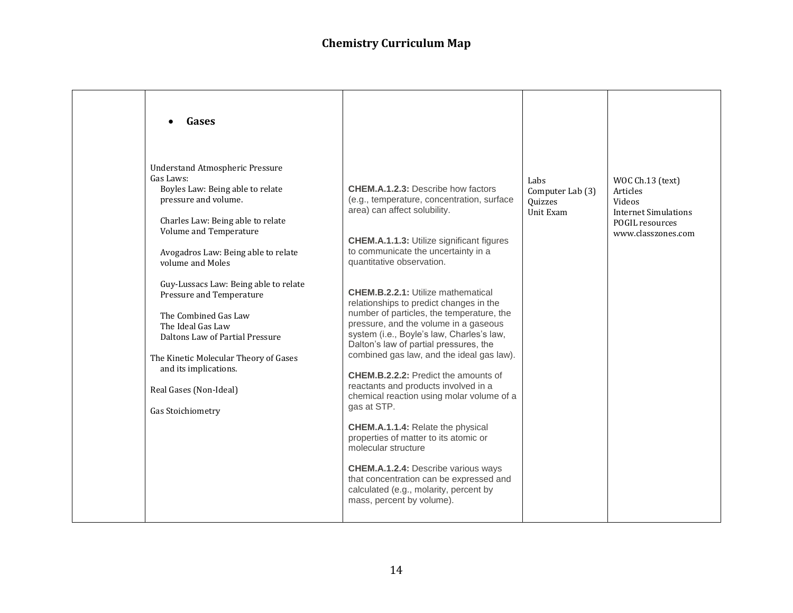| Gases                                                                                                                                                                                                                                                                                                                                                                                                                                                                                                           |                                                                                                                                                                                                                                                                                                                                                                                                                                                                                                                                                                                                                                                                                                                                                                                                                                                                                                                                                                                                  |                                                  |                                                                                                                |
|-----------------------------------------------------------------------------------------------------------------------------------------------------------------------------------------------------------------------------------------------------------------------------------------------------------------------------------------------------------------------------------------------------------------------------------------------------------------------------------------------------------------|--------------------------------------------------------------------------------------------------------------------------------------------------------------------------------------------------------------------------------------------------------------------------------------------------------------------------------------------------------------------------------------------------------------------------------------------------------------------------------------------------------------------------------------------------------------------------------------------------------------------------------------------------------------------------------------------------------------------------------------------------------------------------------------------------------------------------------------------------------------------------------------------------------------------------------------------------------------------------------------------------|--------------------------------------------------|----------------------------------------------------------------------------------------------------------------|
| <b>Understand Atmospheric Pressure</b><br>Gas Laws:<br>Boyles Law: Being able to relate<br>pressure and volume.<br>Charles Law: Being able to relate<br>Volume and Temperature<br>Avogadros Law: Being able to relate<br>volume and Moles<br>Guy-Lussacs Law: Being able to relate<br>Pressure and Temperature<br>The Combined Gas Law<br>The Ideal Gas Law<br>Daltons Law of Partial Pressure<br>The Kinetic Molecular Theory of Gases<br>and its implications.<br>Real Gases (Non-Ideal)<br>Gas Stoichiometry | <b>CHEM.A.1.2.3: Describe how factors</b><br>(e.g., temperature, concentration, surface<br>area) can affect solubility.<br><b>CHEM.A.1.1.3: Utilize significant figures</b><br>to communicate the uncertainty in a<br>quantitative observation.<br><b>CHEM.B.2.2.1: Utilize mathematical</b><br>relationships to predict changes in the<br>number of particles, the temperature, the<br>pressure, and the volume in a gaseous<br>system (i.e., Boyle's law, Charles's law,<br>Dalton's law of partial pressures, the<br>combined gas law, and the ideal gas law).<br><b>CHEM.B.2.2.2:</b> Predict the amounts of<br>reactants and products involved in a<br>chemical reaction using molar volume of a<br>gas at STP.<br><b>CHEM.A.1.1.4: Relate the physical</b><br>properties of matter to its atomic or<br>molecular structure<br><b>CHEM.A.1.2.4:</b> Describe various ways<br>that concentration can be expressed and<br>calculated (e.g., molarity, percent by<br>mass, percent by volume). | Labs<br>Computer Lab (3)<br>Quizzes<br>Unit Exam | WOC Ch.13 (text)<br>Articles<br>Videos<br><b>Internet Simulations</b><br>POGIL resources<br>www.classzones.com |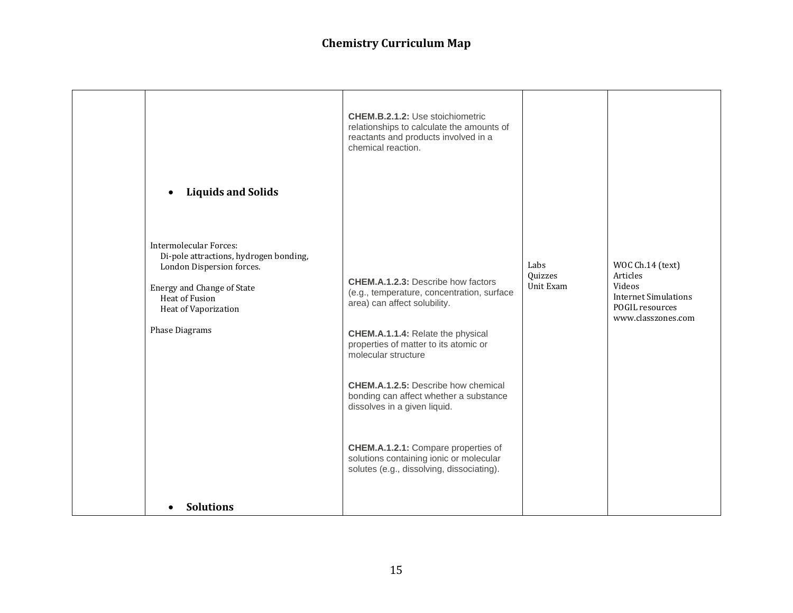| <b>Liquids and Solids</b><br>$\bullet$                                                                                                                                                  | <b>CHEM.B.2.1.2: Use stoichiometric</b><br>relationships to calculate the amounts of<br>reactants and products involved in a<br>chemical reaction.                                                                                                                                                                                                                                                                                                                                         |                              |                                                                                                                |
|-----------------------------------------------------------------------------------------------------------------------------------------------------------------------------------------|--------------------------------------------------------------------------------------------------------------------------------------------------------------------------------------------------------------------------------------------------------------------------------------------------------------------------------------------------------------------------------------------------------------------------------------------------------------------------------------------|------------------------------|----------------------------------------------------------------------------------------------------------------|
|                                                                                                                                                                                         |                                                                                                                                                                                                                                                                                                                                                                                                                                                                                            |                              |                                                                                                                |
| Intermolecular Forces:<br>Di-pole attractions, hydrogen bonding,<br>London Dispersion forces.<br>Energy and Change of State<br>Heat of Fusion<br>Heat of Vaporization<br>Phase Diagrams | <b>CHEM.A.1.2.3: Describe how factors</b><br>(e.g., temperature, concentration, surface<br>area) can affect solubility.<br><b>CHEM.A.1.1.4: Relate the physical</b><br>properties of matter to its atomic or<br>molecular structure<br><b>CHEM.A.1.2.5:</b> Describe how chemical<br>bonding can affect whether a substance<br>dissolves in a given liquid.<br>CHEM.A.1.2.1: Compare properties of<br>solutions containing ionic or molecular<br>solutes (e.g., dissolving, dissociating). | Labs<br>Quizzes<br>Unit Exam | WOC Ch.14 (text)<br>Articles<br>Videos<br><b>Internet Simulations</b><br>POGIL resources<br>www.classzones.com |
| <b>Solutions</b>                                                                                                                                                                        |                                                                                                                                                                                                                                                                                                                                                                                                                                                                                            |                              |                                                                                                                |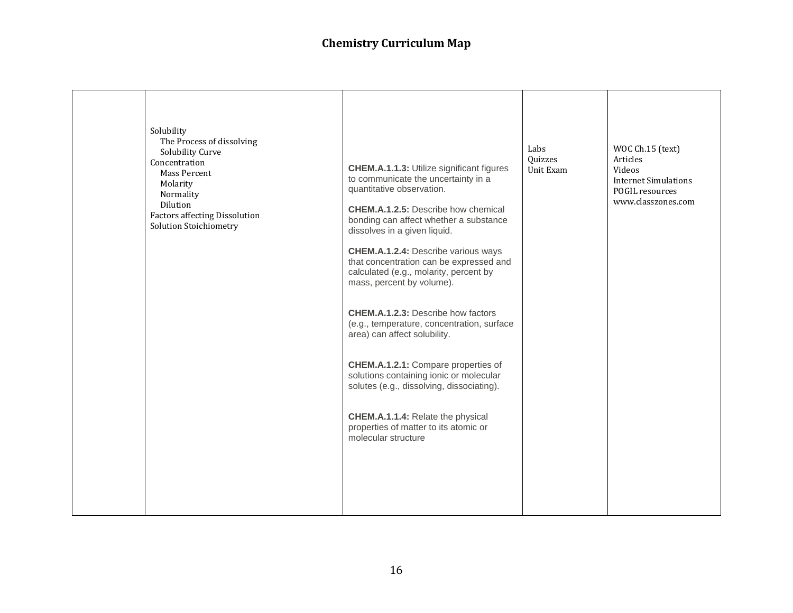|  | Solubility<br>The Process of dissolving<br>Solubility Curve<br>Concentration<br>Mass Percent<br>Molarity<br>Normality<br>Dilution<br><b>Factors affecting Dissolution</b><br>Solution Stoichiometry | <b>CHEM.A.1.1.3: Utilize significant figures</b><br>to communicate the uncertainty in a<br>quantitative observation.<br><b>CHEM.A.1.2.5:</b> Describe how chemical<br>bonding can affect whether a substance<br>dissolves in a given liquid.<br><b>CHEM.A.1.2.4: Describe various ways</b><br>that concentration can be expressed and<br>calculated (e.g., molarity, percent by<br>mass, percent by volume).<br><b>CHEM.A.1.2.3: Describe how factors</b><br>(e.g., temperature, concentration, surface<br>area) can affect solubility.<br>CHEM.A.1.2.1: Compare properties of<br>solutions containing ionic or molecular<br>solutes (e.g., dissolving, dissociating).<br>CHEM.A.1.1.4: Relate the physical<br>properties of matter to its atomic or<br>molecular structure | Labs<br>Quizzes<br>Unit Exam | WOC Ch.15 (text)<br>Articles<br>Videos<br><b>Internet Simulations</b><br>POGIL resources<br>www.classzones.com |
|--|-----------------------------------------------------------------------------------------------------------------------------------------------------------------------------------------------------|-----------------------------------------------------------------------------------------------------------------------------------------------------------------------------------------------------------------------------------------------------------------------------------------------------------------------------------------------------------------------------------------------------------------------------------------------------------------------------------------------------------------------------------------------------------------------------------------------------------------------------------------------------------------------------------------------------------------------------------------------------------------------------|------------------------------|----------------------------------------------------------------------------------------------------------------|
|--|-----------------------------------------------------------------------------------------------------------------------------------------------------------------------------------------------------|-----------------------------------------------------------------------------------------------------------------------------------------------------------------------------------------------------------------------------------------------------------------------------------------------------------------------------------------------------------------------------------------------------------------------------------------------------------------------------------------------------------------------------------------------------------------------------------------------------------------------------------------------------------------------------------------------------------------------------------------------------------------------------|------------------------------|----------------------------------------------------------------------------------------------------------------|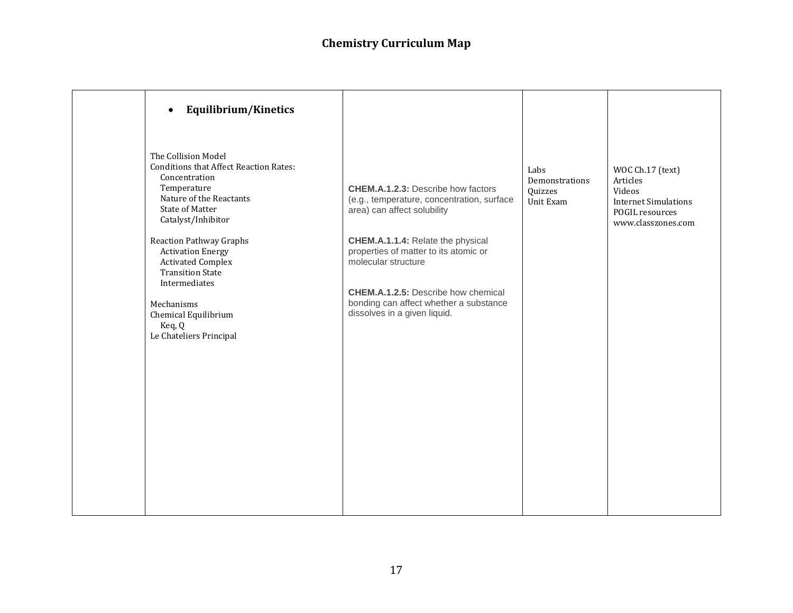| Equilibrium/Kinetics<br>$\bullet$                                                                                                                                                                                                                                                                                                                                                                |                                                                                                                                                                                                                                                                                                                                                     |                                                |                                                                                                                |
|--------------------------------------------------------------------------------------------------------------------------------------------------------------------------------------------------------------------------------------------------------------------------------------------------------------------------------------------------------------------------------------------------|-----------------------------------------------------------------------------------------------------------------------------------------------------------------------------------------------------------------------------------------------------------------------------------------------------------------------------------------------------|------------------------------------------------|----------------------------------------------------------------------------------------------------------------|
| The Collision Model<br><b>Conditions that Affect Reaction Rates:</b><br>Concentration<br>Temperature<br>Nature of the Reactants<br><b>State of Matter</b><br>Catalyst/Inhibitor<br><b>Reaction Pathway Graphs</b><br><b>Activation Energy</b><br><b>Activated Complex</b><br><b>Transition State</b><br>Intermediates<br>Mechanisms<br>Chemical Equilibrium<br>Keq, Q<br>Le Chateliers Principal | <b>CHEM.A.1.2.3: Describe how factors</b><br>(e.g., temperature, concentration, surface<br>area) can affect solubility<br>CHEM.A.1.1.4: Relate the physical<br>properties of matter to its atomic or<br>molecular structure<br><b>CHEM.A.1.2.5:</b> Describe how chemical<br>bonding can affect whether a substance<br>dissolves in a given liquid. | Labs<br>Demonstrations<br>Quizzes<br>Unit Exam | WOC Ch.17 (text)<br>Articles<br>Videos<br><b>Internet Simulations</b><br>POGIL resources<br>www.classzones.com |